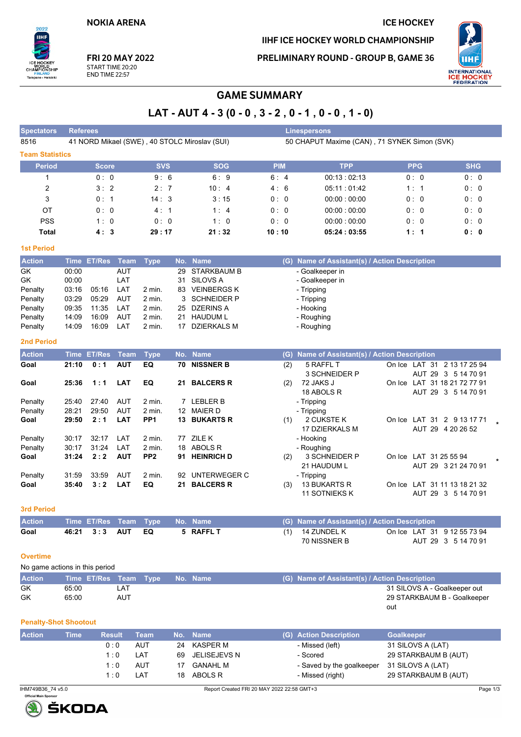**NOKIA ARENA** 

# IIHF ICE HOCKEY WORLD CHAMPIONSHIP

**ICE HOCKEY** 

PRELIMINARY ROUND - GROUP B, GAME 36



FRI 20 MAY 2022 START TIME 20:20 **END TIME 22:57** 

 $2022$ 

Tampere - Helsinki

.<br>Hili

# **GAME SUMMARY**

# LAT - AUT 4 - 3 (0 - 0, 3 - 2, 0 - 1, 0 - 0, 1 - 0)

| <b>Spectators</b>              | <b>Referees</b>              |                  |                   |                    |     |                                               |            | <b>Linespersons</b>                           |                                                 |                      |  |  |
|--------------------------------|------------------------------|------------------|-------------------|--------------------|-----|-----------------------------------------------|------------|-----------------------------------------------|-------------------------------------------------|----------------------|--|--|
| 8516                           |                              |                  |                   |                    |     | 41 NORD Mikael (SWE), 40 STOLC Miroslav (SUI) |            | 50 CHAPUT Maxime (CAN), 71 SYNEK Simon (SVK)  |                                                 |                      |  |  |
| <b>Team Statistics</b>         |                              |                  |                   |                    |     |                                               |            |                                               |                                                 |                      |  |  |
| <b>Period</b>                  |                              | <b>Score</b>     |                   | <b>SVS</b>         |     | <b>SOG</b>                                    | <b>PIM</b> | <b>TPP</b>                                    | <b>PPG</b>                                      | <b>SHG</b>           |  |  |
| 1                              |                              | 0:0              |                   | 9:6                |     | 6:9                                           | 6:4        | 00:13:02:13                                   | 0:0                                             | 0:0                  |  |  |
| 2                              |                              | 3:2              |                   | 2:7                |     | 10:4                                          | 4:6        | 05:11:01:42                                   | 1:1                                             | 0: 0                 |  |  |
| 3                              |                              | 0:1              |                   | 14:3               |     | 3:15                                          | 0:0        | 00:00:00:00                                   | 0:0                                             | 0:0                  |  |  |
| ОT                             |                              | 0:0              |                   | 4:1                |     | 1:4                                           | 0:0        | 00:00:00:00                                   | 0:0                                             | 0:0                  |  |  |
| <b>PSS</b>                     |                              | 1:0              |                   | 0:0                |     | 1:0                                           | 0:0        | 00:00:00:00                                   | 0: 0                                            | 0: 0                 |  |  |
| <b>Total</b>                   |                              | 4:3              |                   | 29:17              |     | 21:32                                         | 10:10      | 05:24:03:55                                   | 1:1                                             | 0: 0                 |  |  |
| <b>1st Period</b>              |                              |                  |                   |                    |     |                                               |            |                                               |                                                 |                      |  |  |
| <b>Action</b>                  |                              | Time ET/Res      | <b>Team</b>       | <b>Type</b>        |     | No. Name                                      |            | (G) Name of Assistant(s) / Action Description |                                                 |                      |  |  |
| GK                             | 00:00                        |                  | <b>AUT</b>        |                    | 29  | <b>STARKBAUM B</b>                            |            | - Goalkeeper in                               |                                                 |                      |  |  |
| GK                             | 00:00                        |                  | LAT               |                    | 31  | <b>SILOVS A</b>                               |            | - Goalkeeper in                               |                                                 |                      |  |  |
| Penalty                        | 03:16                        | 05:16            | LAT               | 2 min.             |     | 83 VEINBERGS K                                |            | - Tripping                                    |                                                 |                      |  |  |
| Penalty                        | 03:29                        | 05:29            | AUT               | 2 min.             | 3   | <b>SCHNEIDER P</b>                            |            | - Tripping                                    |                                                 |                      |  |  |
| Penalty                        | 09:35                        | 11:35            | LAT               | 2 min.             | 25  | <b>DZERINS A</b>                              |            | - Hooking                                     |                                                 |                      |  |  |
| Penalty<br>Penalty             | 14:09<br>14:09               | 16.09<br>16:09   | <b>AUT</b><br>LAT | 2 min.<br>$2$ min. | 21  | <b>HAUDUM L</b><br>17 DZIERKALS M             |            | - Roughing<br>- Roughing                      |                                                 |                      |  |  |
|                                |                              |                  |                   |                    |     |                                               |            |                                               |                                                 |                      |  |  |
| <b>2nd Period</b>              |                              |                  |                   |                    |     |                                               |            |                                               |                                                 |                      |  |  |
| <b>Action</b>                  |                              | Time ET/Res      | <b>Team</b>       | <b>Type</b>        |     | No. Name                                      |            | (G) Name of Assistant(s) / Action Description |                                                 |                      |  |  |
| Goal                           | 21:10                        | 0:1              | <b>AUT</b>        | EQ                 | 70  | <b>NISSNER B</b>                              | (2)        | 5 RAFFL T<br>3 SCHNEIDER P                    | On Ice LAT 31 2 13 17 25 94                     | AUT 29 3 5 14 70 91  |  |  |
| Goal                           | 25:36                        | 1:1              | <b>LAT</b>        | EQ                 |     | 21 BALCERS R                                  | (2)        | 72 JAKS J                                     | On Ice LAT 31 18 21 72 77 91                    |                      |  |  |
|                                |                              |                  |                   |                    |     |                                               |            | 18 ABOLS R                                    |                                                 | AUT 29 3 5 14 70 91  |  |  |
| Penalty                        | 25:40                        | 27:40            | <b>AUT</b>        | 2 min.             |     | 7 LEBLER B                                    |            | - Tripping                                    |                                                 |                      |  |  |
| Penalty                        | 28:21                        | 29:50            | <b>AUT</b>        | 2 min.             |     | 12 MAIER D                                    |            | - Tripping                                    |                                                 |                      |  |  |
| Goal                           | 29:50                        | 2:1              | LAT               | PP <sub>1</sub>    |     | <b>13 BUKARTS R</b>                           | (1)        | 2 CUKSTE K<br>17 DZIERKALS M                  | On Ice LAT 31 2 9 13 17 71<br>AUT 29 4 20 26 52 |                      |  |  |
| Penalty                        | 30:17                        | 32:17            | LAT               | 2 min.             | 77  | ZILE K                                        |            | - Hooking                                     |                                                 |                      |  |  |
| Penalty                        | 30:17                        | 31:24            | LAT               | 2 min.             | 18  | ABOLS R                                       |            | - Roughing                                    |                                                 |                      |  |  |
| Goal                           | 31:24                        | 2:2              | <b>AUT</b>        | PP <sub>2</sub>    |     | 91 HEINRICH D                                 | (2)        | 3 SCHNEIDER P                                 | On Ice LAT 31 25 55 94                          |                      |  |  |
|                                |                              |                  |                   |                    |     |                                               |            | 21 HAUDUM L                                   |                                                 | AUT 29 3 21 24 70 91 |  |  |
| Penalty                        | 31:59                        | 33:59            | AUT               | 2 min.             | 92  | UNTERWEGER C                                  |            | - Tripping                                    |                                                 |                      |  |  |
| Goal                           | 35:40                        | 3:2              | <b>LAT</b>        | EQ                 | 21  | <b>BALCERS R</b>                              | (3)        | <b>13 BUKARTS R</b><br><b>11 SOTNIEKS K</b>   | On Ice LAT 31 11 13 18 21 32                    | AUT 29 3 5 14 70 91  |  |  |
|                                |                              |                  |                   |                    |     |                                               |            |                                               |                                                 |                      |  |  |
| <b>3rd Period</b>              |                              |                  |                   |                    |     |                                               |            |                                               |                                                 |                      |  |  |
| <b>Action</b>                  |                              | Time ET/Res Team |                   | <b>Type</b>        |     | No. Name                                      |            | (G) Name of Assistant(s) / Action Description |                                                 |                      |  |  |
| Goal                           | 46:21                        | 3:3              | <b>AUT</b>        | EQ                 |     | 5 RAFFL T                                     | (1)        | 14 ZUNDEL K                                   | On Ice LAT 31 9 12 55 73 94                     |                      |  |  |
|                                |                              |                  |                   |                    |     |                                               |            | 70 NISSNER B                                  |                                                 | AUT 29 3 5 14 70 91  |  |  |
| <b>Overtime</b>                |                              |                  |                   |                    |     |                                               |            |                                               |                                                 |                      |  |  |
| No game actions in this period |                              |                  |                   |                    |     |                                               |            |                                               |                                                 |                      |  |  |
| <b>Action</b>                  |                              | Time ET/Res      | Team              | <b>Type</b>        |     | No. Name                                      |            | (G) Name of Assistant(s) / Action Description |                                                 |                      |  |  |
| <b>GK</b>                      | 65:00                        |                  | LAT               |                    |     |                                               |            |                                               | 31 SILOVS A - Goalkeeper out                    |                      |  |  |
| GK                             | 65:00                        |                  | AUT               |                    |     |                                               |            |                                               | 29 STARKBAUM B - Goalkeeper                     |                      |  |  |
|                                |                              |                  |                   |                    |     |                                               |            |                                               | out                                             |                      |  |  |
|                                | <b>Penalty-Shot Shootout</b> |                  |                   |                    |     |                                               |            |                                               |                                                 |                      |  |  |
| <b>Action</b>                  | <b>Time</b>                  |                  | <b>Result</b>     | <b>Team</b>        | No. | <b>Name</b>                                   |            | (G) Action Description                        | Goalkeeper                                      |                      |  |  |
|                                |                              |                  | 0:0               | <b>AUT</b>         |     | 24 KASPER M                                   |            | - Missed (left)                               | 31 SILOVS A (LAT)                               |                      |  |  |





 $1:0$ 

 $1:0$ 

 $1:0$ 

LAT

AUT

LAT

- Scored

- Missed (right)

- Saved by the goalkeeper

69 JELISEJEVS N

**GANAHL M** 

ABOLS R

 $17$ 

 $18$ 

29 STARKBAUM B (AUT)

31 SILOVS A (LAT) 29 STARKBAUM B (AUT)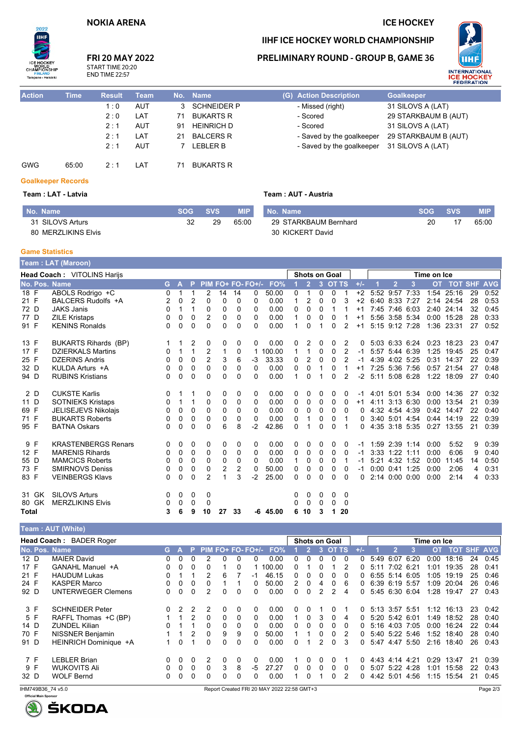### **NOKIA ARENA**

# **ICE HOCKEY**

29 STARKBAUM B (AUT) 31 SILOVS A (LAT) 29 STARKBAUM B (AUT)



#### **FRI 20 MAY 2022** START TIME 20:20

**END TIME 22:57** 

### **PRELIMINARY ROUND - GROUP B, GAME 36**

IIHF ICE HOCKEY WORLD CHAMPIONSHIP



| <b>Action</b> | <b>Time</b> | <b>Result</b> | Team |    | No. Name           | (G) Action Description    | <b>Goalkeeper</b> |
|---------------|-------------|---------------|------|----|--------------------|---------------------------|-------------------|
|               |             | 1:0           | AUT  | 3  | <b>SCHNEIDER P</b> | - Missed (right)          | 31 SILOVS A (LAT) |
|               |             | 2:0           | LAT  | 71 | <b>BUKARTS R</b>   | - Scored                  | 29 STARKBAUM B    |
|               |             | 2:1           | AUT  | 91 | <b>HEINRICH D</b>  | - Scored                  | 31 SILOVS A (LAT) |
|               |             | 2:1           | LAT  | 21 | <b>BALCERS R</b>   | - Saved by the goalkeeper | 29 STARKBAUM B    |
|               |             | 2:1           | AUT  |    | LEBLER B           | - Saved by the goalkeeper | 31 SILOVS A (LAT) |
| <b>GWG</b>    | 65:00       | $2 \cdot 1$   | LAT  | 71 | <b>BUKARTS R</b>   |                           |                   |

## Team: AUT - Austria

| No. Name            |    | SOG SVS | <b>MIP</b> | I No. Name            | SOG – | <b>SVS</b> | <b>MIP</b> |
|---------------------|----|---------|------------|-----------------------|-------|------------|------------|
| 31 SILOVS Arturs    | 32 | 29      | 65:00      | 29 STARKBAUM Bernhard | 20    |            | 65:00      |
| 80 MERZLIKINS Elvis |    |         |            | 30 KICKERT David      |       |            |            |

#### **Game Statistics**

**Goalkeeper Records** Team: LAT - Latvia

|              | <b>Team: LAT (Maroon)</b> |                                    |          |   |                |                |          |          |                   |            |   |                      |                |              |                |       |             |                    |      |           |                    |    |      |
|--------------|---------------------------|------------------------------------|----------|---|----------------|----------------|----------|----------|-------------------|------------|---|----------------------|----------------|--------------|----------------|-------|-------------|--------------------|------|-----------|--------------------|----|------|
|              |                           | <b>Head Coach: VITOLINS Harijs</b> |          |   |                |                |          |          |                   |            |   | <b>Shots on Goal</b> |                |              |                |       | Time on Ice |                    |      |           |                    |    |      |
|              |                           | No. Pos. Name                      | G.       | A | P              |                |          |          | PIM FO+ FO- FO+/- | FO%        |   |                      | $\overline{3}$ | <b>OT TS</b> |                | $+/-$ |             | $\overline{2}$     | 3    | <b>OT</b> | <b>TOT SHF AVG</b> |    |      |
| 18 F         |                           | ABOLS Rodrigo +C                   | 0        |   |                | 2              | 14       | 14       | 0                 | 50.00      | 0 | 1                    | $\mathbf{0}$   | $\Omega$     | $\overline{1}$ | $+2$  |             | 5:52 9:57          | 7:33 | 1:54      | 25:16              | 29 | 0:52 |
| 21 F         |                           | BALCERS Rudolfs +A                 | 2        | 0 | $\overline{2}$ | 0              | $\Omega$ | 0        | $\Omega$          | 0.00       |   | 2                    | 0              | $\Omega$     | 3              | $+2$  |             | 6:40 8:33 7:27     |      |           | 2:14 24:54         | 28 | 0:53 |
| 72 D         |                           | <b>JAKS Janis</b>                  | 0        |   |                | 0              | 0        | 0        | 0                 | 0.00       | 0 | 0                    | $\Omega$       |              |                | $+1$  |             | 7:45 7:46 6:03     |      |           | 2:40 24:14         | 32 | 0:45 |
| 77 D         |                           | <b>ZILE Kristaps</b>               | 0        | 0 | 0              | $\overline{2}$ | $\Omega$ | $\Omega$ | 0                 | 0.00       |   | 0                    | $\Omega$       | 0            |                | $+1$  |             | 5:56 3:58 5:34     |      | 0:00      | 15:28              | 28 | 0:33 |
| 91 F         |                           | <b>KENINS Ronalds</b>              | 0        | 0 | $\Omega$       | $\Omega$       | $\Omega$ | $\Omega$ | 0                 | 0.00       | 1 | 0                    |                | 0            | 2              | $+1$  |             | 5:15 9:12 7:28     |      |           | 1:36 23:31         | 27 | 0:52 |
| 13 F         |                           | <b>BUKARTS Rihards (BP)</b>        |          |   | 2              | 0              | 0        | 0        | 0                 | 0.00       | 0 |                      | 0              | 0            | 2              | 0     |             | 5:03 6:33 6:24     |      |           | 0:23 18:23         | 23 | 0:47 |
| 17 F         |                           | <b>DZIERKALS Martins</b>           | 0        |   | 1              | $\overline{2}$ | 1        | 0        | 1                 | 100.00     |   |                      | $\Omega$       | 0            | 2              | $-1$  |             | 5:57 5:44 6:39     |      | 1:25      | 19:45              | 25 | 0:47 |
| 25 F         |                           | <b>DZERINS Andris</b>              | 0        | 0 | 0              | $\overline{2}$ | 3        | 6        | $-3$              | 33.33      | 0 | 2                    | $\Omega$       | 0            | 2              | -1    |             | 4:39 4:02 5:25     |      | 0:31      | 14:37              | 22 | 0:39 |
| 32 D         |                           | KULDA Arturs +A                    | 0        | 0 | 0              | $\Omega$       | 0        | 0        | 0                 | 0.00       | 0 | 0                    |                | 0            |                | $+1$  |             | 7:25 5:36 7:56     |      |           | 0:57 21:54         | 27 | 0:48 |
| 94 D         |                           | <b>RUBINS Kristians</b>            | 0        | 0 | $\Omega$       | $\Omega$       | $\Omega$ | 0        | 0                 | 0.00       |   | 0                    |                | 0            | 2              | $-2$  | 5:11        | 5:08 6:28          |      | 1:22      | 18:09              | 27 | 0:40 |
|              | 2 D                       | <b>CUKSTE Karlis</b>               | 0        |   |                | 0              | 0        | 0        | 0                 | 0.00       | 0 | 0                    | 0              | 0            | 0              | -1    |             | 4:01 5:01 5:34     |      | 0:00      | 14:36              | 27 | 0:32 |
| 11 D         |                           | <b>SOTNIEKS Kristaps</b>           | $\Omega$ |   | 1              | 0              | 0        | 0        | 0                 | 0.00       | 0 | 0                    | $\mathbf{0}$   | 0            | $\Omega$       | $+1$  | 4:11        | 3:13 6:30          |      | 0:00      | 13:54              | 21 | 0:39 |
| 69 F         |                           | <b>JELISEJEVS Nikolajs</b>         | 0        | 0 | $\Omega$       | $\Omega$       | 0        | 0        | 0                 | 0.00       | 0 | 0                    | $\Omega$       | 0            | $\Omega$       | 0     |             | 4:32 4:54 4:39     |      | 0:42      | 14:47              | 22 | 0:40 |
| 71 F         |                           | <b>BUKARTS Roberts</b>             | 0        | 0 | 0              | $\Omega$       | $\Omega$ | $\Omega$ | 0                 | 0.00       | 0 |                      | $\Omega$       | 0            |                | 0     |             | 3:40 5:01 4:54     |      | 0:44      | 14:19              | 22 | 0:39 |
| 95 F         |                           | <b>BATNA Oskars</b>                | 0        | 0 | 0              | $\Omega$       | 6        | 8        | -2                | 42.86      | 0 |                      | 0              | 0            |                | 0     |             | 4:35 3:18 5:35     |      | 0:27      | 13:55              | 21 | 0:39 |
|              | 9 F                       | <b>KRASTENBERGS Renars</b>         | 0        | 0 | 0              | 0              | 0        | 0        | 0                 | 0.00       | 0 | 0                    | 0              | 0            | 0              | $-1$  |             | 1:59 2:39 1:14     |      | 0:00      | 5:52               | 9  | 0:39 |
| 12 F         |                           | <b>MARENIS Rihards</b>             | 0        | 0 | 0              | 0              | 0        | 0        | 0                 | 0.00       | 0 | 0                    | 0              | 0            | 0              | -1    |             | 3:33 1:22 1:11     |      | 0:00      | 6:06               | 9  | 0:40 |
| 55 D         |                           | <b>MAMCICS Roberts</b>             | 0        | 0 | 0              | 0              | 0        | 0        | 0                 | 0.00       |   | 0                    | $\Omega$       | 0            |                | -1    |             | 5:21 4:32 1:52     |      | 0:00      | 11:45              | 14 | 0:50 |
| 73 F         |                           | <b>SMIRNOVS Deniss</b>             | 0        | 0 | $\Omega$       | 0              | 2        | 2        | 0                 | 50.00      | 0 | 0                    | $\Omega$       | 0            | $\Omega$       | $-1$  |             | $0:00$ $0:41$ 1:25 |      | 0:00      | 2:06               | 4  | 0:31 |
| 83 F         |                           | <b>VEINBERGS Klavs</b>             | 0        | 0 | 0              | $\overline{2}$ | 1        | 3        | $-2$              | 25.00      | 0 | 0                    | $\mathbf{0}$   | $\Omega$     | $\Omega$       | 0     |             | 2:14 0:00 0:00     |      | 0:00      | 2:14               | 4  | 0:33 |
|              | 31 GK                     | <b>SILOVS Arturs</b>               | 0        | 0 | 0              | 0              |          |          |                   |            | 0 | 0                    | 0              | 0            | 0              |       |             |                    |      |           |                    |    |      |
|              | 80 GK                     | <b>MERZLIKINS Elvis</b>            | 0        | 0 | 0              | 0              |          |          |                   |            | 0 | 0                    | $\Omega$       | 0            | 0              |       |             |                    |      |           |                    |    |      |
| <b>Total</b> |                           |                                    | 3        | 6 | 9              | 10             | 27       | 33       |                   | $-6$ 45.00 | 6 | 10                   | 3              | 1            | 20             |       |             |                    |      |           |                    |    |      |

#### Team : AUT (White)

| <b>Head Coach: BADER Roger</b> |  |                              |    |          |    |   |              |          |          | <b>Shots on Goal</b>  |  |   |               |              | Time on Ice  |              |                |           |      |      |            |    |                |
|--------------------------------|--|------------------------------|----|----------|----|---|--------------|----------|----------|-----------------------|--|---|---------------|--------------|--------------|--------------|----------------|-----------|------|------|------------|----|----------------|
|                                |  | No. Pos. Name                | G. |          | P. |   |              |          |          | PIM FO+ FO- FO+/- FO% |  |   | ß.            | <b>OT TS</b> |              | $+/-$        |                | 2         | 3    | OT.  | <b>TOT</b> |    | <b>SHF AVG</b> |
| 12 D                           |  | <b>MAIER David</b>           |    |          |    |   | n            |          | 0        | 0.00                  |  |   |               |              | <sup>0</sup> | 0            | 5.49           | 6:07      | 6:20 | 0:00 | 18:16      | 24 | 0:45           |
| 17 F                           |  | GANAHL Manuel +A             |    | $\Omega$ |    |   |              |          |          | 100.00                |  |   |               |              | 2            | O.           | 5:11           | 7.02      | 6:21 | 1:01 | 19:35      | 28 | 0:41           |
| 21 F                           |  | <b>HAUDUM Lukas</b>          |    |          |    | 2 | 6            |          | -1       | 46.15                 |  |   |               | <sup>0</sup> | 0            | 0.           | 6:55 5:14      |           | 6:05 | 1:05 | 19:19      | 25 | 0:46           |
| 24 F                           |  | <b>KASPER Marco</b>          |    |          |    | 0 |              |          | 0        | 50.00                 |  |   | 4             |              | 6            | O.           | 6.39 6.19 5.57 |           |      | 1:09 | 20:04      | 26 | 0.46           |
| 92 D                           |  | <b>UNTERWEGER Clemens</b>    |    | $\Omega$ |    | 2 | 0            | $\Omega$ | 0        | 0.00                  |  |   | $\mathcal{P}$ | 2            | 4            | 0            |                | 5:45 6:30 | 6:04 | 1:28 | 19:47      | 27 | 0:43           |
| 3 F                            |  | <b>SCHNEIDER Peter</b>       |    |          |    | 2 | 0            | 0        | $\Omega$ | 0.00                  |  |   |               | O            |              | <sup>0</sup> | 5:13 3:57 5:51 |           |      | 1:12 | 16:13      | 23 | 0:42           |
| 5 F                            |  | RAFFL Thomas +C (BP)         |    |          |    | 0 | 0            | 0        | 0        | 0.00                  |  | 0 | 3             | $\Omega$     | 4            | <sup>0</sup> | 5:20 5:42 6:01 |           |      | 1:49 | 18:52      | 28 | 0:40           |
| 14 D                           |  | <b>ZUNDEL Kilian</b>         |    |          |    | 0 | 0            | 0        | 0        | 0.00                  |  | 0 | 0             | $\Omega$     | 0            | ∩.           | 5:16 4:03 7:05 |           |      | 0:00 | 16:24      | 22 | 0.44           |
| 70 F                           |  | <b>NISSNER Benjamin</b>      |    |          |    | 0 | 9            | 9        | 0        | 50.00                 |  |   | 0             | $\Omega$     | 2            | ∩.           | 5:40 5:22 5:46 |           |      | 1:52 | 18:40      | 28 | 0:40           |
| 91 D                           |  | <b>HEINRICH Dominique +A</b> |    | $\Omega$ |    | 0 | 0            | 0        | 0        | 0.00                  |  |   | 2             | $\Omega$     | 3            | $\Omega$     | 5:47           | 4:47 5:50 |      | 2:16 | 18:40      | 26 | 0:43           |
| 7 F                            |  | <b>LEBLER Brian</b>          |    |          |    | 2 | 0            | 0        | $\Omega$ | 0.00                  |  |   | 0             | $\Omega$     |              | O.           | 4.43           | 4.14      | 4:21 | 0:29 | 13.47      | 21 | 0:39           |
| 9 F                            |  | <b>WUKOVITS Ali</b>          |    |          |    | 0 | 3            | 8        | -5       | 27.27                 |  |   |               | <sup>0</sup> | $\Omega$     | O.           | 5:07           | 5:22      | 4:28 | 1:01 | 15:58      | 22 | 0:43           |
| 32 D                           |  | <b>WOLF Bernd</b>            |    |          |    | 0 | <sup>0</sup> |          | 0        | 0.00                  |  |   |               | n            | 2            | O.           | 4.42           | 5:01      | 4:56 | 1:15 | 15:54      | 21 | 0:45           |

IHM749B36 74 v5.0 —<br>Official Main Sponso